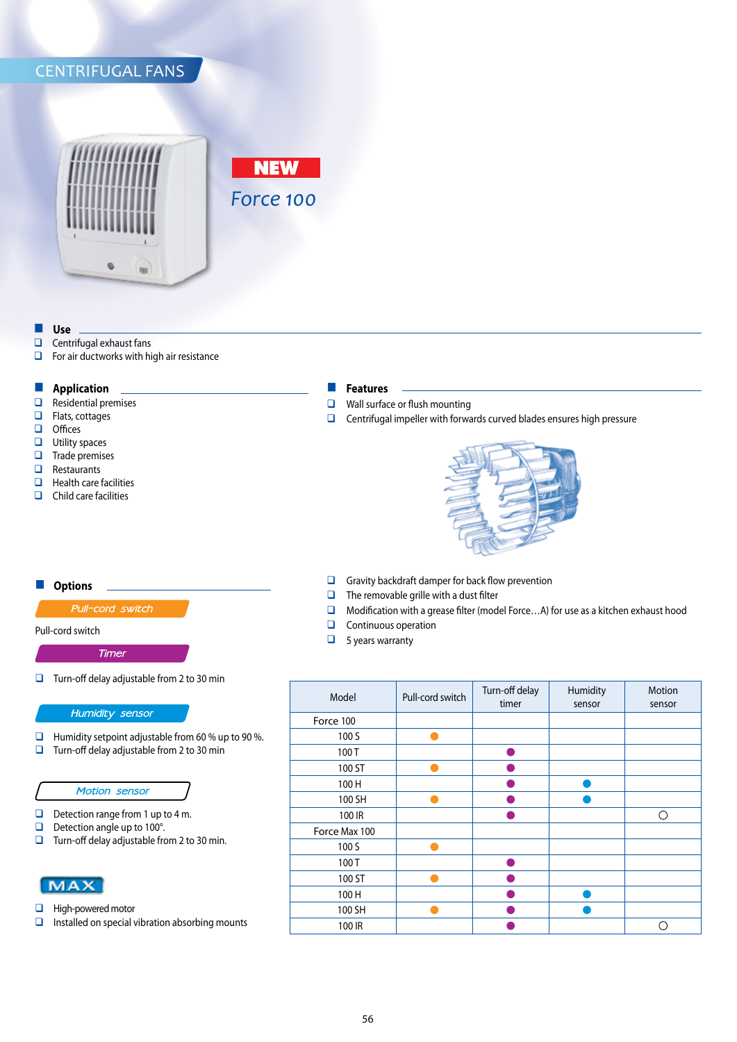## CENTRIFUGAL FANS



# *Force 100*

**NEW** 

#### n **Use**

- 
- $\Box$  Centrifugal exhaust fans<br> $\Box$  For air ductworks with hi For air ductworks with high air resistance

# **Application**<br>**a** Residential pre

- $\Box$  Residential premises<br> $\Box$  Flats. cottages
- Flats, cottages
- $\Box$  Offices
- Utility spaces
- 
- $\Box$  Trade premises  $\Box$  Restaurants
- Health care facilities
- $\Box$  Child care facilities

#### $F_{\text{eatures}}$

- $\Box$  Wall surface or flush mounting
- $\Box$  Centrifugal impeller with forwards curved blades ensures high pressure



- $\Box$  Gravity backdraft damper for back flow prevention
- $\Box$  The removable grille with a dust filter
- $\Box$  Modification with a grease filter (model Force...A) for use as a kitchen exhaust hood
- $\Box$  Continuous operation
- $\Box$  5 years warranty

| Model         | Pull-cord switch | Turn-off delay<br>timer | Humidity<br>sensor | Motion<br>sensor |
|---------------|------------------|-------------------------|--------------------|------------------|
| Force 100     |                  |                         |                    |                  |
| 100 S         |                  |                         |                    |                  |
| 100T          |                  |                         |                    |                  |
| 100 ST        |                  |                         |                    |                  |
| 100H          |                  |                         |                    |                  |
| 100 SH        |                  |                         |                    |                  |
| 100 IR        |                  |                         |                    | ∩                |
| Force Max 100 |                  |                         |                    |                  |
| 100 S         |                  |                         |                    |                  |
| 100T          |                  |                         |                    |                  |
| 100 ST        |                  |                         |                    |                  |
| 100H          |                  |                         |                    |                  |
| 100 SH        |                  |                         |                    |                  |
| 100 IR        |                  |                         |                    |                  |

### **Options**

### Pull-cord switch

Pull-cord switch

#### **Timer**

 $\Box$  Turn-off delay adjustable from 2 to 30 min

### Humidity sensor

- **Q** Humidity setpoint adjustable from 60 % up to 90 %.
- $\Box$  Turn-off delay adjustable from 2 to 30 min

#### Motion sensor

- $\Box$  Detection range from 1 up to 4 m.
- $\Box$  Detection angle up to 100°.<br> $\Box$  Turn-off delay adjustable from
- Turn-off delay adjustable from 2 to 30 min.

- $\Box$  High-powered motor<br> $\Box$  Installed on special
- Installed on special vibration absorbing mounts